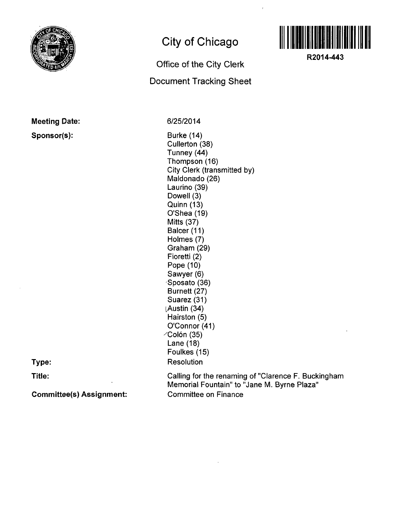

## **Meeting Date:**

## **Sponsor(s):**

**City of Chicago** 

## **Office of the City Clerk Document Tracking Sheet**



**R2014-443** 

**6/25/2014** 

Burke (14) Cullerton (38) Tunney (44) Thompson (16) City Clerk (transmitted by) Maldonado (26) Laurino (39) Dowell (3) Quinn (13) O'Shea (19) Mitts (37) Balcer (11) Holmes (7) Graham (29) Fioretti (2) Pope (10) Sawyer (6) Sposato (36) Burnett (27) Suarez (31) [Austin (34) Hairston (5) O'Connor (41)  $\angle$ Colón (35) Lane (18) Foulkes (15) Resolution

**Type:** 

**Title:** 

**Committee(s) Assignment:** 

Calling for the renaming of "Clarence F. Buckingham Memorial Fountain" to "Jane M. Byrne Plaza" Committee on Finance